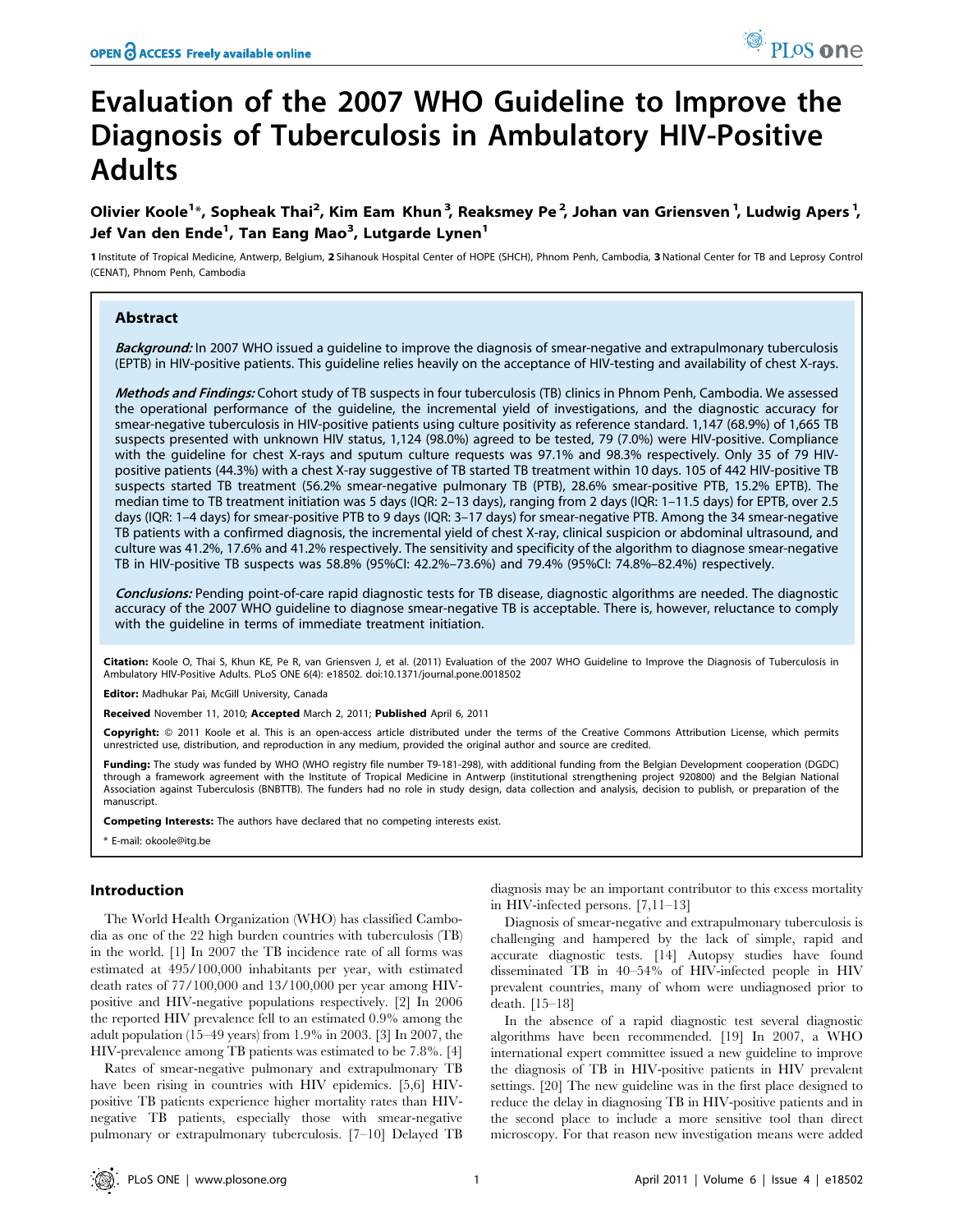# Evaluation of the 2007 WHO Guideline to Improve the Diagnosis of Tuberculosis in Ambulatory HIV-Positive Adults

Olivier Koole<sup>1</sup>\*, Sopheak Thai<sup>2</sup>, Kim Eam Khun<sup>3</sup>, Reaksmey Pe<sup>2</sup>, Johan van Griensven<sup>1</sup>, Ludwig Apers<sup>1</sup>, Jef Van den Ende<sup>1</sup>, Tan Eang Mao<sup>3</sup>, Lutgarde Lynen<sup>1</sup>

1 Institute of Tropical Medicine, Antwerp, Belgium, 2 Sihanouk Hospital Center of HOPE (SHCH), Phnom Penh, Cambodia, 3 National Center for TB and Leprosy Control (CENAT), Phnom Penh, Cambodia

# Abstract

Background: In 2007 WHO issued a guideline to improve the diagnosis of smear-negative and extrapulmonary tuberculosis (EPTB) in HIV-positive patients. This guideline relies heavily on the acceptance of HIV-testing and availability of chest X-rays.

Methods and Findings: Cohort study of TB suspects in four tuberculosis (TB) clinics in Phnom Penh, Cambodia. We assessed the operational performance of the guideline, the incremental yield of investigations, and the diagnostic accuracy for smear-negative tuberculosis in HIV-positive patients using culture positivity as reference standard. 1,147 (68.9%) of 1,665 TB suspects presented with unknown HIV status, 1,124 (98.0%) agreed to be tested, 79 (7.0%) were HIV-positive. Compliance with the guideline for chest X-rays and sputum culture requests was 97.1% and 98.3% respectively. Only 35 of 79 HIVpositive patients (44.3%) with a chest X-ray suggestive of TB started TB treatment within 10 days. 105 of 442 HIV-positive TB suspects started TB treatment (56.2% smear-negative pulmonary TB (PTB), 28.6% smear-positive PTB, 15.2% EPTB). The median time to TB treatment initiation was 5 days (IQR: 2–13 days), ranging from 2 days (IQR: 1–11.5 days) for EPTB, over 2.5 days (IQR: 1–4 days) for smear-positive PTB to 9 days (IQR: 3–17 days) for smear-negative PTB. Among the 34 smear-negative TB patients with a confirmed diagnosis, the incremental yield of chest X-ray, clinical suspicion or abdominal ultrasound, and culture was 41.2%, 17.6% and 41.2% respectively. The sensitivity and specificity of the algorithm to diagnose smear-negative TB in HIV-positive TB suspects was 58.8% (95%CI: 42.2%–73.6%) and 79.4% (95%CI: 74.8%–82.4%) respectively.

Conclusions: Pending point-of-care rapid diagnostic tests for TB disease, diagnostic algorithms are needed. The diagnostic accuracy of the 2007 WHO guideline to diagnose smear-negative TB is acceptable. There is, however, reluctance to comply with the guideline in terms of immediate treatment initiation.

Citation: Koole O, Thai S, Khun KE, Pe R, van Griensven J, et al. (2011) Evaluation of the 2007 WHO Guideline to Improve the Diagnosis of Tuberculosis in Ambulatory HIV-Positive Adults. PLoS ONE 6(4): e18502. doi:10.1371/journal.pone.0018502

Editor: Madhukar Pai, McGill University, Canada

Received November 11, 2010; Accepted March 2, 2011; Published April 6, 2011

Copyright: © 2011 Koole et al. This is an open-access article distributed under the terms of the Creative Commons Attribution License, which permits unrestricted use, distribution, and reproduction in any medium, provided the original author and source are credited.

Funding: The study was funded by WHO (WHO registry file number T9-181-298), with additional funding from the Belgian Development cooperation (DGDC) through a framework agreement with the Institute of Tropical Medicine in Antwerp (institutional strengthening project 920800) and the Belgian National Association against Tuberculosis (BNBTTB). The funders had no role in study design, data collection and analysis, decision to publish, or preparation of the manuscript.

Competing Interests: The authors have declared that no competing interests exist.

\* E-mail: okoole@itg.be

# Introduction

The World Health Organization (WHO) has classified Cambodia as one of the 22 high burden countries with tuberculosis (TB) in the world. [1] In 2007 the TB incidence rate of all forms was estimated at 495/100,000 inhabitants per year, with estimated death rates of 77/100,000 and 13/100,000 per year among HIVpositive and HIV-negative populations respectively. [2] In 2006 the reported HIV prevalence fell to an estimated 0.9% among the adult population (15–49 years) from 1.9% in 2003. [3] In 2007, the HIV-prevalence among TB patients was estimated to be 7.8%. [4]

Rates of smear-negative pulmonary and extrapulmonary TB have been rising in countries with HIV epidemics. [5,6] HIVpositive TB patients experience higher mortality rates than HIVnegative TB patients, especially those with smear-negative pulmonary or extrapulmonary tuberculosis. [7–10] Delayed TB diagnosis may be an important contributor to this excess mortality in HIV-infected persons. [7,11–13]

Diagnosis of smear-negative and extrapulmonary tuberculosis is challenging and hampered by the lack of simple, rapid and accurate diagnostic tests. [14] Autopsy studies have found disseminated TB in 40–54% of HIV-infected people in HIV prevalent countries, many of whom were undiagnosed prior to death. [15–18]

In the absence of a rapid diagnostic test several diagnostic algorithms have been recommended. [19] In 2007, a WHO international expert committee issued a new guideline to improve the diagnosis of TB in HIV-positive patients in HIV prevalent settings. [20] The new guideline was in the first place designed to reduce the delay in diagnosing TB in HIV-positive patients and in the second place to include a more sensitive tool than direct microscopy. For that reason new investigation means were added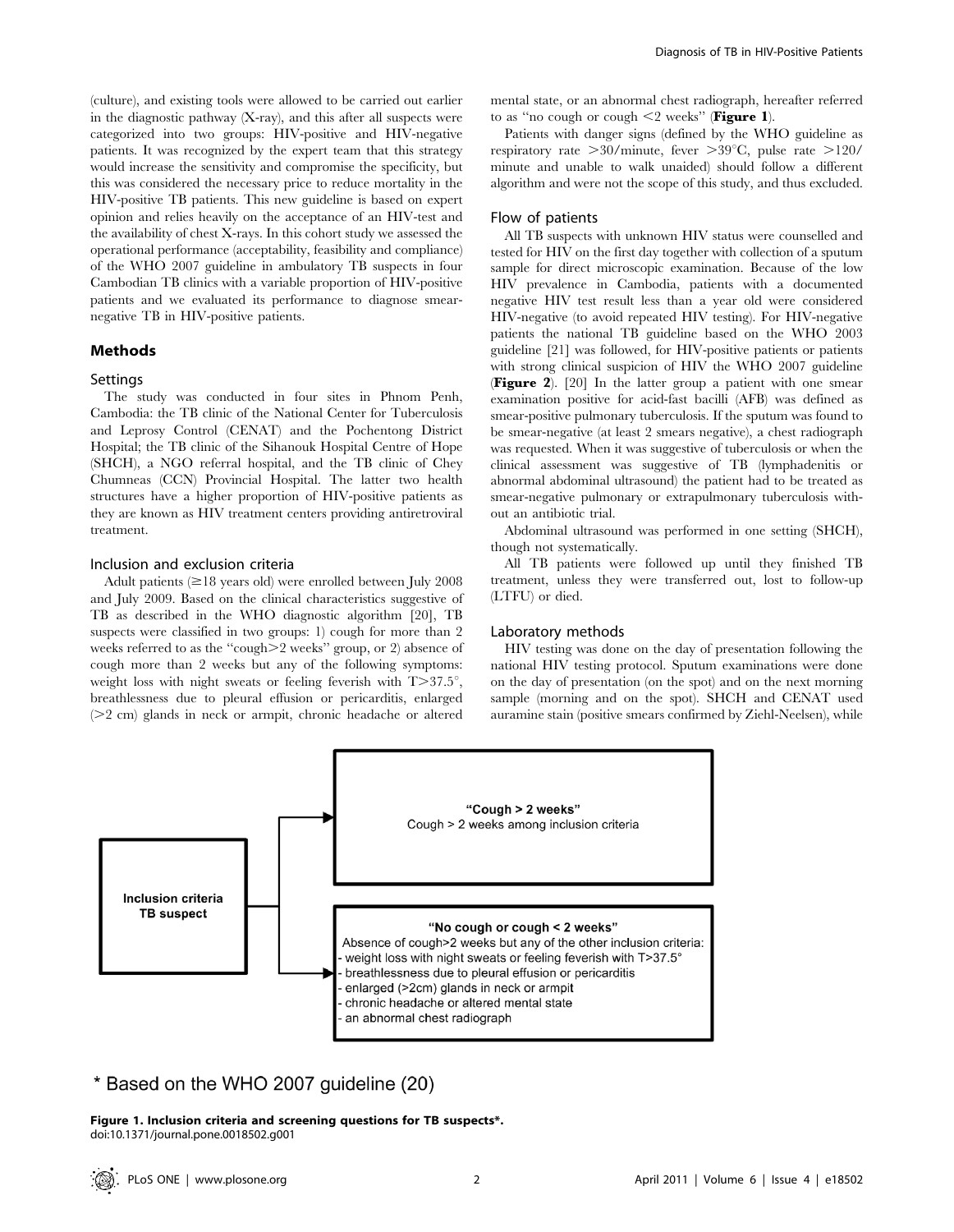(culture), and existing tools were allowed to be carried out earlier in the diagnostic pathway (X-ray), and this after all suspects were categorized into two groups: HIV-positive and HIV-negative patients. It was recognized by the expert team that this strategy would increase the sensitivity and compromise the specificity, but this was considered the necessary price to reduce mortality in the HIV-positive TB patients. This new guideline is based on expert opinion and relies heavily on the acceptance of an HIV-test and the availability of chest X-rays. In this cohort study we assessed the operational performance (acceptability, feasibility and compliance) of the WHO 2007 guideline in ambulatory TB suspects in four Cambodian TB clinics with a variable proportion of HIV-positive patients and we evaluated its performance to diagnose smearnegative TB in HIV-positive patients.

## Methods

## **Settings**

The study was conducted in four sites in Phnom Penh, Cambodia: the TB clinic of the National Center for Tuberculosis and Leprosy Control (CENAT) and the Pochentong District Hospital; the TB clinic of the Sihanouk Hospital Centre of Hope (SHCH), a NGO referral hospital, and the TB clinic of Chey Chumneas (CCN) Provincial Hospital. The latter two health structures have a higher proportion of HIV-positive patients as they are known as HIV treatment centers providing antiretroviral treatment.

#### Inclusion and exclusion criteria

Adult patients  $(\geq 18$  years old) were enrolled between July 2008 and July 2009. Based on the clinical characteristics suggestive of TB as described in the WHO diagnostic algorithm [20], TB suspects were classified in two groups: 1) cough for more than 2 weeks referred to as the "cough $\geq$ 2 weeks" group, or 2) absence of cough more than 2 weeks but any of the following symptoms: weight loss with night sweats or feeling feverish with  $T>37.5^{\circ}$ , breathlessness due to pleural effusion or pericarditis, enlarged  $(22 \text{ cm})$  glands in neck or armpit, chronic headache or altered mental state, or an abnormal chest radiograph, hereafter referred to as "no cough or cough  $\leq$  weeks" (Figure 1).

Patients with danger signs (defined by the WHO guideline as respiratory rate  $>30/m$ inute, fever  $>39^{\circ}$ C, pulse rate  $>120/$ minute and unable to walk unaided) should follow a different algorithm and were not the scope of this study, and thus excluded.

# Flow of patients

All TB suspects with unknown HIV status were counselled and tested for HIV on the first day together with collection of a sputum sample for direct microscopic examination. Because of the low HIV prevalence in Cambodia, patients with a documented negative HIV test result less than a year old were considered HIV-negative (to avoid repeated HIV testing). For HIV-negative patients the national TB guideline based on the WHO 2003 guideline [21] was followed, for HIV-positive patients or patients with strong clinical suspicion of HIV the WHO 2007 guideline (Figure 2). [20] In the latter group a patient with one smear examination positive for acid-fast bacilli (AFB) was defined as smear-positive pulmonary tuberculosis. If the sputum was found to be smear-negative (at least 2 smears negative), a chest radiograph was requested. When it was suggestive of tuberculosis or when the clinical assessment was suggestive of TB (lymphadenitis or abnormal abdominal ultrasound) the patient had to be treated as smear-negative pulmonary or extrapulmonary tuberculosis without an antibiotic trial.

Abdominal ultrasound was performed in one setting (SHCH), though not systematically.

All TB patients were followed up until they finished TB treatment, unless they were transferred out, lost to follow-up (LTFU) or died.

## Laboratory methods

HIV testing was done on the day of presentation following the national HIV testing protocol. Sputum examinations were done on the day of presentation (on the spot) and on the next morning sample (morning and on the spot). SHCH and CENAT used auramine stain (positive smears confirmed by Ziehl-Neelsen), while



\* Based on the WHO 2007 guideline (20)

Figure 1. Inclusion criteria and screening questions for TB suspects\*. doi:10.1371/journal.pone.0018502.g001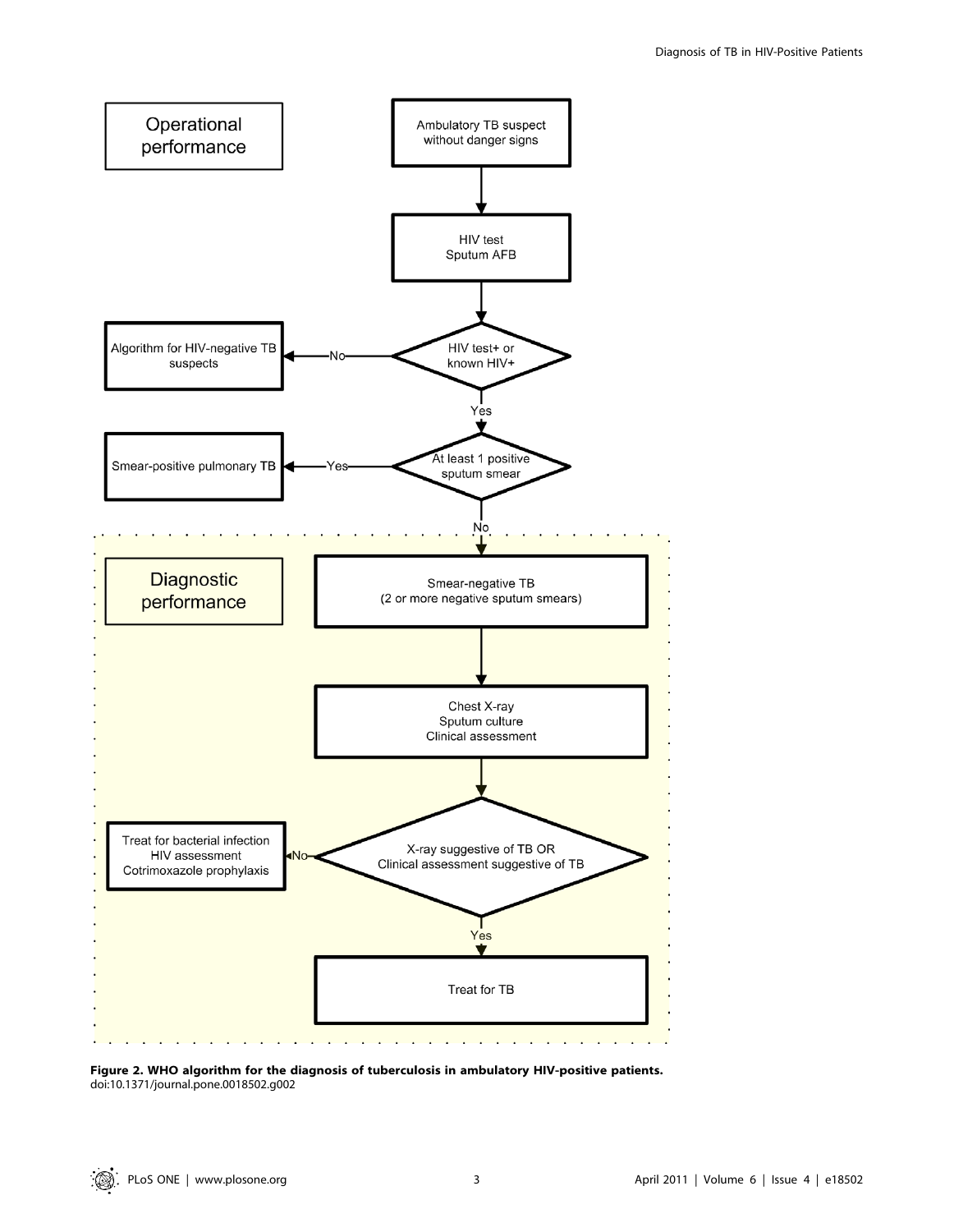

Figure 2. WHO algorithm for the diagnosis of tuberculosis in ambulatory HIV-positive patients. doi:10.1371/journal.pone.0018502.g002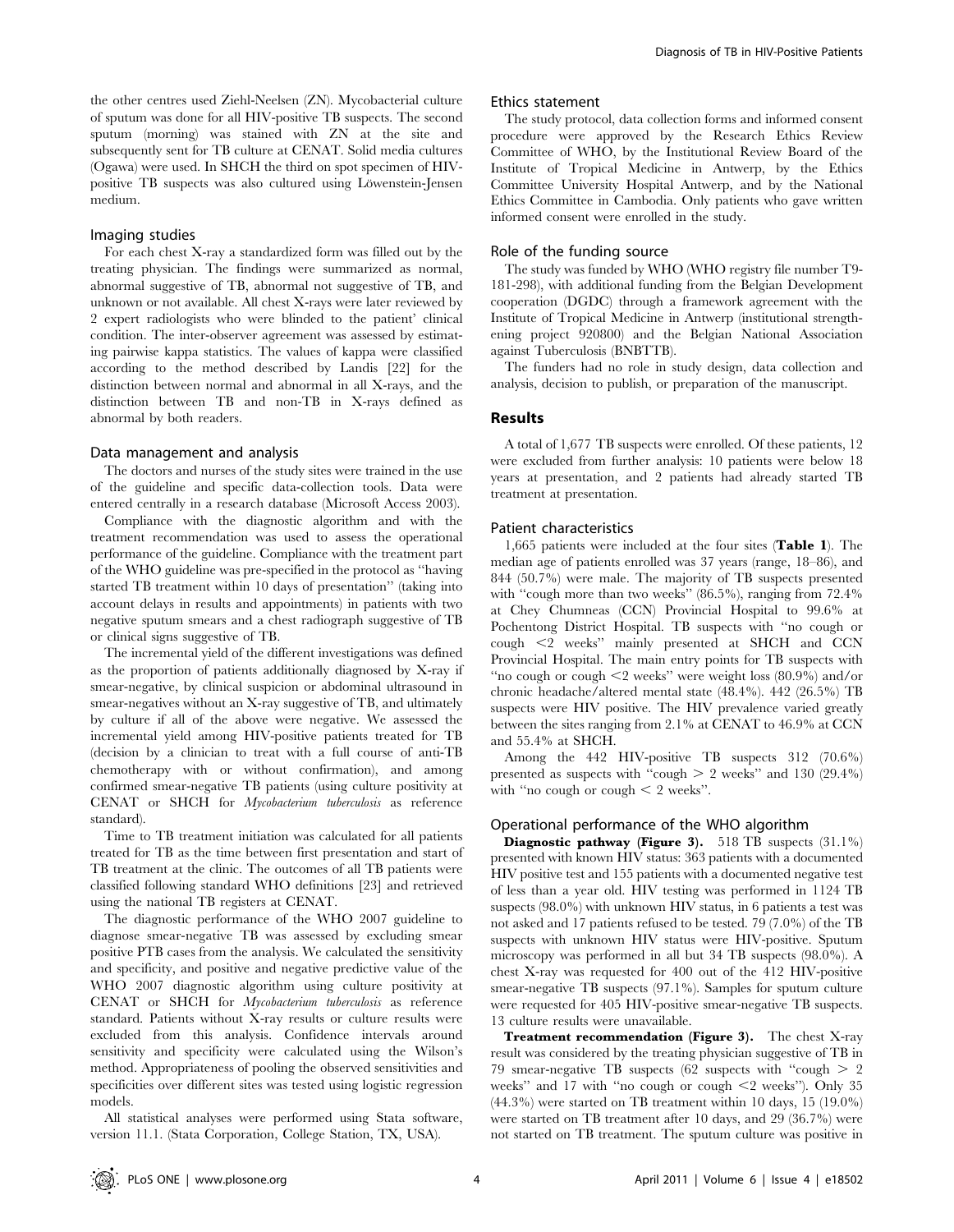the other centres used Ziehl-Neelsen (ZN). Mycobacterial culture of sputum was done for all HIV-positive TB suspects. The second sputum (morning) was stained with ZN at the site and subsequently sent for TB culture at CENAT. Solid media cultures (Ogawa) were used. In SHCH the third on spot specimen of HIVpositive TB suspects was also cultured using Löwenstein-Jensen medium.

## Imaging studies

For each chest X-ray a standardized form was filled out by the treating physician. The findings were summarized as normal, abnormal suggestive of TB, abnormal not suggestive of TB, and unknown or not available. All chest X-rays were later reviewed by 2 expert radiologists who were blinded to the patient' clinical condition. The inter-observer agreement was assessed by estimating pairwise kappa statistics. The values of kappa were classified according to the method described by Landis [22] for the distinction between normal and abnormal in all X-rays, and the distinction between TB and non-TB in X-rays defined as abnormal by both readers.

# Data management and analysis

The doctors and nurses of the study sites were trained in the use of the guideline and specific data-collection tools. Data were entered centrally in a research database (Microsoft Access 2003).

Compliance with the diagnostic algorithm and with the treatment recommendation was used to assess the operational performance of the guideline. Compliance with the treatment part of the WHO guideline was pre-specified in the protocol as ''having started TB treatment within 10 days of presentation'' (taking into account delays in results and appointments) in patients with two negative sputum smears and a chest radiograph suggestive of TB or clinical signs suggestive of TB.

The incremental yield of the different investigations was defined as the proportion of patients additionally diagnosed by X-ray if smear-negative, by clinical suspicion or abdominal ultrasound in smear-negatives without an X-ray suggestive of TB, and ultimately by culture if all of the above were negative. We assessed the incremental yield among HIV-positive patients treated for TB (decision by a clinician to treat with a full course of anti-TB chemotherapy with or without confirmation), and among confirmed smear-negative TB patients (using culture positivity at CENAT or SHCH for Mycobacterium tuberculosis as reference standard).

Time to TB treatment initiation was calculated for all patients treated for TB as the time between first presentation and start of TB treatment at the clinic. The outcomes of all TB patients were classified following standard WHO definitions [23] and retrieved using the national TB registers at CENAT.

The diagnostic performance of the WHO 2007 guideline to diagnose smear-negative TB was assessed by excluding smear positive PTB cases from the analysis. We calculated the sensitivity and specificity, and positive and negative predictive value of the WHO 2007 diagnostic algorithm using culture positivity at CENAT or SHCH for Mycobacterium tuberculosis as reference standard. Patients without X-ray results or culture results were excluded from this analysis. Confidence intervals around sensitivity and specificity were calculated using the Wilson's method. Appropriateness of pooling the observed sensitivities and specificities over different sites was tested using logistic regression models.

All statistical analyses were performed using Stata software, version 11.1. (Stata Corporation, College Station, TX, USA).

### Ethics statement

The study protocol, data collection forms and informed consent procedure were approved by the Research Ethics Review Committee of WHO, by the Institutional Review Board of the Institute of Tropical Medicine in Antwerp, by the Ethics Committee University Hospital Antwerp, and by the National Ethics Committee in Cambodia. Only patients who gave written informed consent were enrolled in the study.

### Role of the funding source

The study was funded by WHO (WHO registry file number T9- 181-298), with additional funding from the Belgian Development cooperation (DGDC) through a framework agreement with the Institute of Tropical Medicine in Antwerp (institutional strengthening project 920800) and the Belgian National Association against Tuberculosis (BNBTTB).

The funders had no role in study design, data collection and analysis, decision to publish, or preparation of the manuscript.

## Results

A total of 1,677 TB suspects were enrolled. Of these patients, 12 were excluded from further analysis: 10 patients were below 18 years at presentation, and 2 patients had already started TB treatment at presentation.

### Patient characteristics

1,665 patients were included at the four sites (Table 1). The median age of patients enrolled was 37 years (range, 18–86), and 844 (50.7%) were male. The majority of TB suspects presented with "cough more than two weeks" (86.5%), ranging from 72.4% at Chey Chumneas (CCN) Provincial Hospital to 99.6% at Pochentong District Hospital. TB suspects with ''no cough or cough  $\leq$  weeks" mainly presented at SHCH and CCN Provincial Hospital. The main entry points for TB suspects with "no cough or cough  $\leq$  weeks" were weight loss (80.9%) and/or chronic headache/altered mental state (48.4%). 442 (26.5%) TB suspects were HIV positive. The HIV prevalence varied greatly between the sites ranging from 2.1% at CENAT to 46.9% at CCN and 55.4% at SHCH.

Among the 442 HIV-positive TB suspects 312 (70.6%) presented as suspects with "cough  $> 2$  weeks" and 130 (29.4%) with "no cough or cough  $\lt$  2 weeks".

# Operational performance of the WHO algorithm

Diagnostic pathway (Figure 3). 518 TB suspects (31.1%) presented with known HIV status: 363 patients with a documented HIV positive test and 155 patients with a documented negative test of less than a year old. HIV testing was performed in 1124 TB suspects (98.0%) with unknown HIV status, in 6 patients a test was not asked and 17 patients refused to be tested. 79 (7.0%) of the TB suspects with unknown HIV status were HIV-positive. Sputum microscopy was performed in all but 34 TB suspects (98.0%). A chest X-ray was requested for 400 out of the 412 HIV-positive smear-negative TB suspects (97.1%). Samples for sputum culture were requested for 405 HIV-positive smear-negative TB suspects. 13 culture results were unavailable.

Treatment recommendation (Figure 3). The chest X-ray result was considered by the treating physician suggestive of TB in 79 smear-negative TB suspects (62 suspects with "cough  $> 2$ weeks" and 17 with "no cough or cough  $\leq$  weeks"). Only 35 (44.3%) were started on TB treatment within 10 days, 15 (19.0%) were started on TB treatment after 10 days, and 29 (36.7%) were not started on TB treatment. The sputum culture was positive in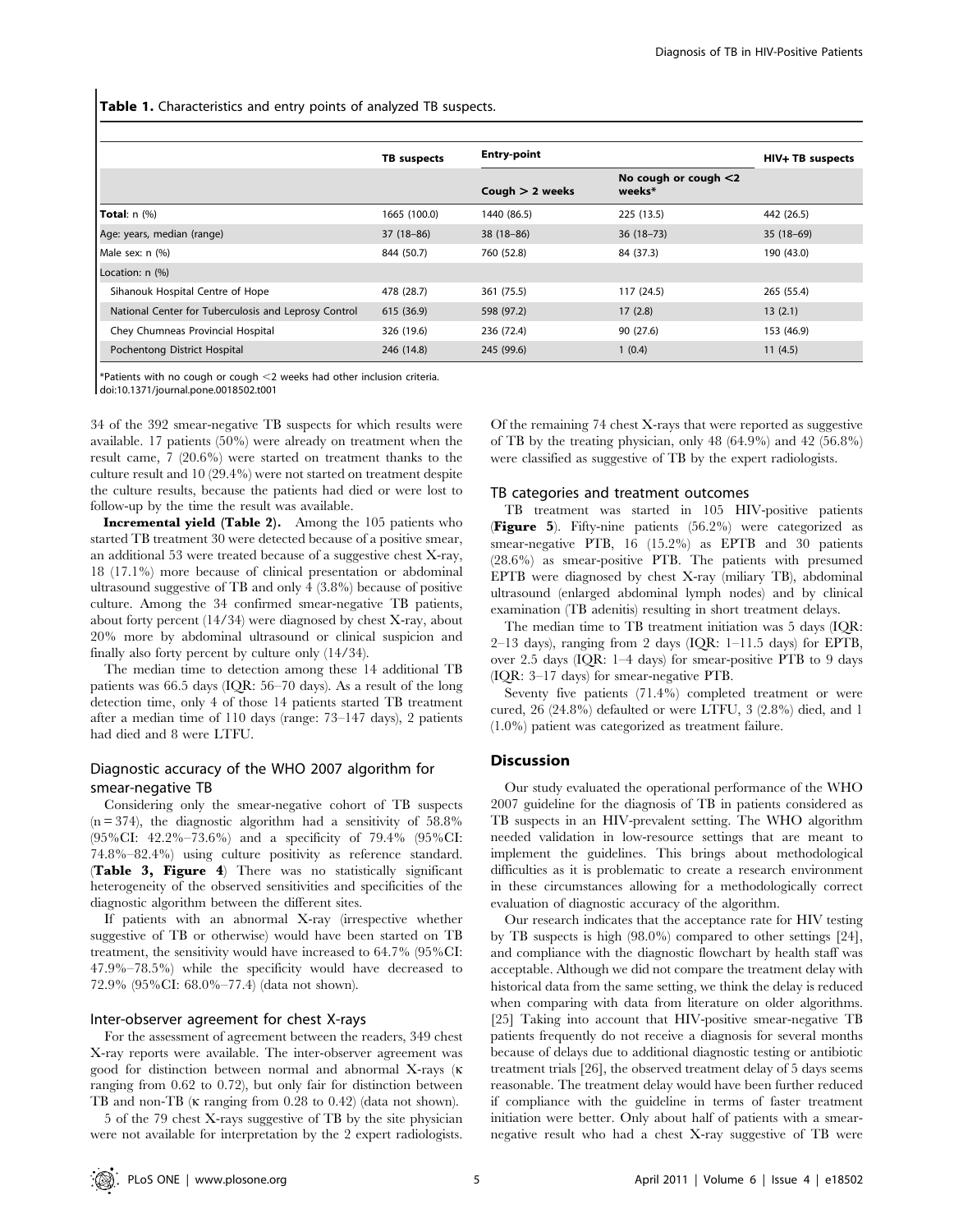Table 1. Characteristics and entry points of analyzed TB suspects.

|                                                      | TB suspects  | <b>Entry-point</b> |                                   | HIV+ TB suspects |
|------------------------------------------------------|--------------|--------------------|-----------------------------------|------------------|
|                                                      |              | Cough $> 2$ weeks  | No cough or cough $<$ 2<br>weeks* |                  |
| Total: $n$ $(\%)$                                    | 1665 (100.0) | 1440 (86.5)        | 225 (13.5)                        | 442 (26.5)       |
| Age: years, median (range)                           | $37(18-86)$  | $38(18-86)$        | $36(18-73)$                       | $35(18-69)$      |
| Male sex: n (%)                                      | 844 (50.7)   | 760 (52.8)         | 84 (37.3)                         | 190 (43.0)       |
| Location: n (%)                                      |              |                    |                                   |                  |
| Sihanouk Hospital Centre of Hope                     | 478 (28.7)   | 361 (75.5)         | 117 (24.5)                        | 265 (55.4)       |
| National Center for Tuberculosis and Leprosy Control | 615 (36.9)   | 598 (97.2)         | 17(2.8)                           | 13(2.1)          |
| Chey Chumneas Provincial Hospital                    | 326 (19.6)   | 236 (72.4)         | 90 (27.6)                         | 153 (46.9)       |
| Pochentong District Hospital                         | 246 (14.8)   | 245 (99.6)         | 1(0.4)                            | 11(4.5)          |

\*Patients with no cough or cough ,2 weeks had other inclusion criteria. doi:10.1371/journal.pone.0018502.t001

34 of the 392 smear-negative TB suspects for which results were available. 17 patients (50%) were already on treatment when the result came, 7 (20.6%) were started on treatment thanks to the culture result and 10 (29.4%) were not started on treatment despite the culture results, because the patients had died or were lost to follow-up by the time the result was available.

Incremental yield (Table 2). Among the 105 patients who started TB treatment 30 were detected because of a positive smear, an additional 53 were treated because of a suggestive chest X-ray, 18 (17.1%) more because of clinical presentation or abdominal ultrasound suggestive of TB and only 4 (3.8%) because of positive culture. Among the 34 confirmed smear-negative TB patients, about forty percent (14/34) were diagnosed by chest X-ray, about 20% more by abdominal ultrasound or clinical suspicion and finally also forty percent by culture only (14/34).

The median time to detection among these 14 additional TB patients was 66.5 days (IQR: 56–70 days). As a result of the long detection time, only 4 of those 14 patients started TB treatment after a median time of 110 days (range: 73–147 days), 2 patients had died and 8 were LTFU.

# Diagnostic accuracy of the WHO 2007 algorithm for smear-negative TB

Considering only the smear-negative cohort of TB suspects  $(n = 374)$ , the diagnostic algorithm had a sensitivity of 58.8% (95%CI: 42.2%–73.6%) and a specificity of 79.4% (95%CI: 74.8%–82.4%) using culture positivity as reference standard. (Table 3, Figure 4) There was no statistically significant heterogeneity of the observed sensitivities and specificities of the diagnostic algorithm between the different sites.

If patients with an abnormal X-ray (irrespective whether suggestive of TB or otherwise) would have been started on TB treatment, the sensitivity would have increased to 64.7% (95%CI: 47.9%–78.5%) while the specificity would have decreased to 72.9% (95%CI: 68.0%–77.4) (data not shown).

## Inter-observer agreement for chest X-rays

For the assessment of agreement between the readers, 349 chest X-ray reports were available. The inter-observer agreement was good for distinction between normal and abnormal X-rays (k ranging from 0.62 to 0.72), but only fair for distinction between TB and non-TB ( $\kappa$  ranging from 0.28 to 0.42) (data not shown).

5 of the 79 chest X-rays suggestive of TB by the site physician were not available for interpretation by the 2 expert radiologists.

Of the remaining 74 chest X-rays that were reported as suggestive of TB by the treating physician, only 48 (64.9%) and 42 (56.8%) were classified as suggestive of TB by the expert radiologists.

## TB categories and treatment outcomes

TB treatment was started in 105 HIV-positive patients (Figure 5). Fifty-nine patients (56.2%) were categorized as smear-negative PTB, 16 (15.2%) as EPTB and 30 patients (28.6%) as smear-positive PTB. The patients with presumed EPTB were diagnosed by chest X-ray (miliary TB), abdominal ultrasound (enlarged abdominal lymph nodes) and by clinical examination (TB adenitis) resulting in short treatment delays.

The median time to TB treatment initiation was 5 days (IQR:  $2-13$  days), ranging from 2 days (IQR:  $1-11.5$  days) for EPTB, over 2.5 days (IQR: 1–4 days) for smear-positive PTB to 9 days (IQR: 3–17 days) for smear-negative PTB.

Seventy five patients (71.4%) completed treatment or were cured, 26 (24.8%) defaulted or were LTFU, 3 (2.8%) died, and 1 (1.0%) patient was categorized as treatment failure.

## Discussion

Our study evaluated the operational performance of the WHO 2007 guideline for the diagnosis of TB in patients considered as TB suspects in an HIV-prevalent setting. The WHO algorithm needed validation in low-resource settings that are meant to implement the guidelines. This brings about methodological difficulties as it is problematic to create a research environment in these circumstances allowing for a methodologically correct evaluation of diagnostic accuracy of the algorithm.

Our research indicates that the acceptance rate for HIV testing by TB suspects is high (98.0%) compared to other settings [24], and compliance with the diagnostic flowchart by health staff was acceptable. Although we did not compare the treatment delay with historical data from the same setting, we think the delay is reduced when comparing with data from literature on older algorithms. [25] Taking into account that HIV-positive smear-negative TB patients frequently do not receive a diagnosis for several months because of delays due to additional diagnostic testing or antibiotic treatment trials [26], the observed treatment delay of 5 days seems reasonable. The treatment delay would have been further reduced if compliance with the guideline in terms of faster treatment initiation were better. Only about half of patients with a smearnegative result who had a chest X-ray suggestive of TB were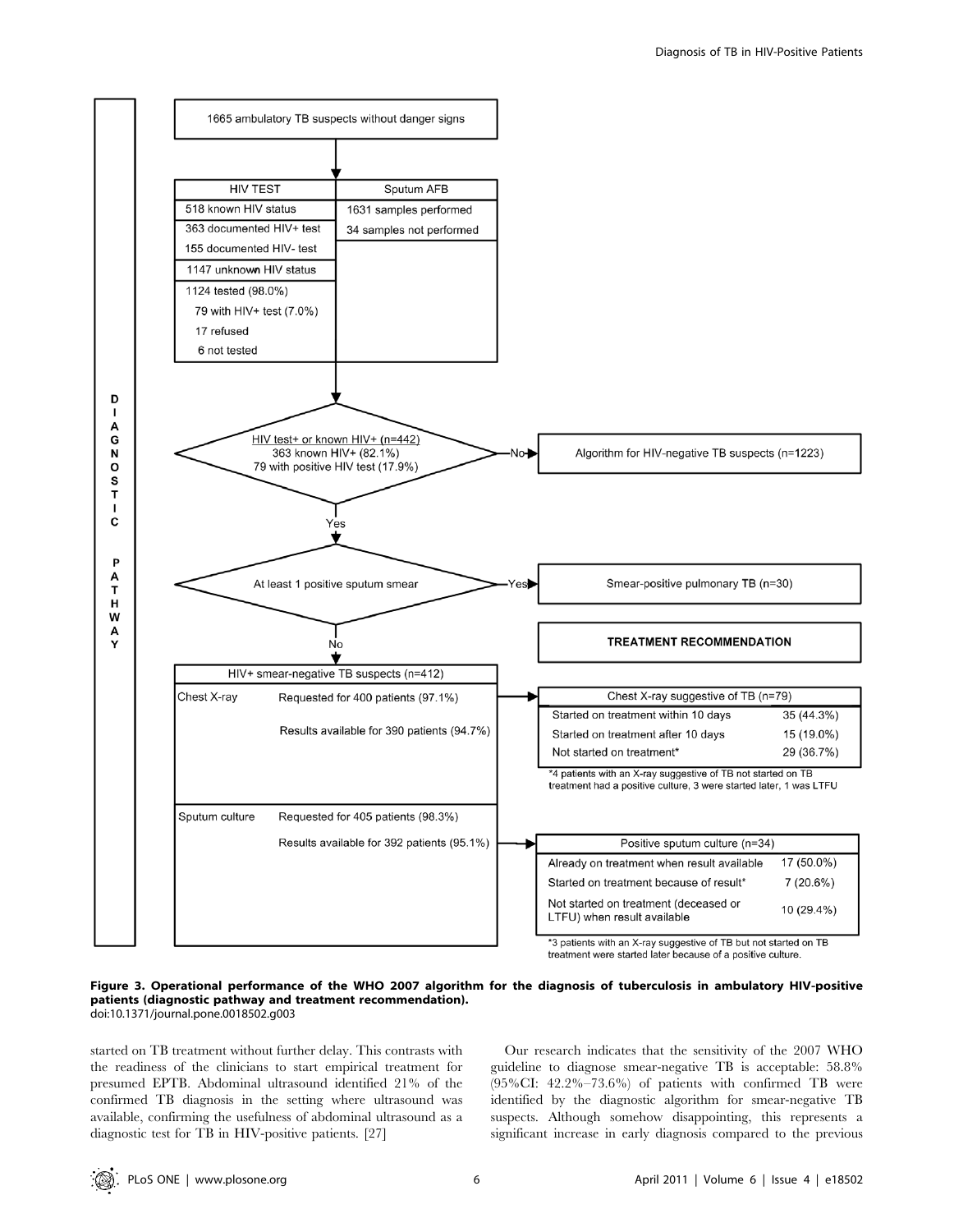

treatment were started later because of a positive culture.

#### Figure 3. Operational performance of the WHO 2007 algorithm for the diagnosis of tuberculosis in ambulatory HIV-positive patients (diagnostic pathway and treatment recommendation). doi:10.1371/journal.pone.0018502.g003

started on TB treatment without further delay. This contrasts with the readiness of the clinicians to start empirical treatment for presumed EPTB. Abdominal ultrasound identified 21% of the confirmed TB diagnosis in the setting where ultrasound was available, confirming the usefulness of abdominal ultrasound as a diagnostic test for TB in HIV-positive patients. [27]

Our research indicates that the sensitivity of the 2007 WHO guideline to diagnose smear-negative TB is acceptable: 58.8% (95%CI: 42.2%–73.6%) of patients with confirmed TB were identified by the diagnostic algorithm for smear-negative TB suspects. Although somehow disappointing, this represents a significant increase in early diagnosis compared to the previous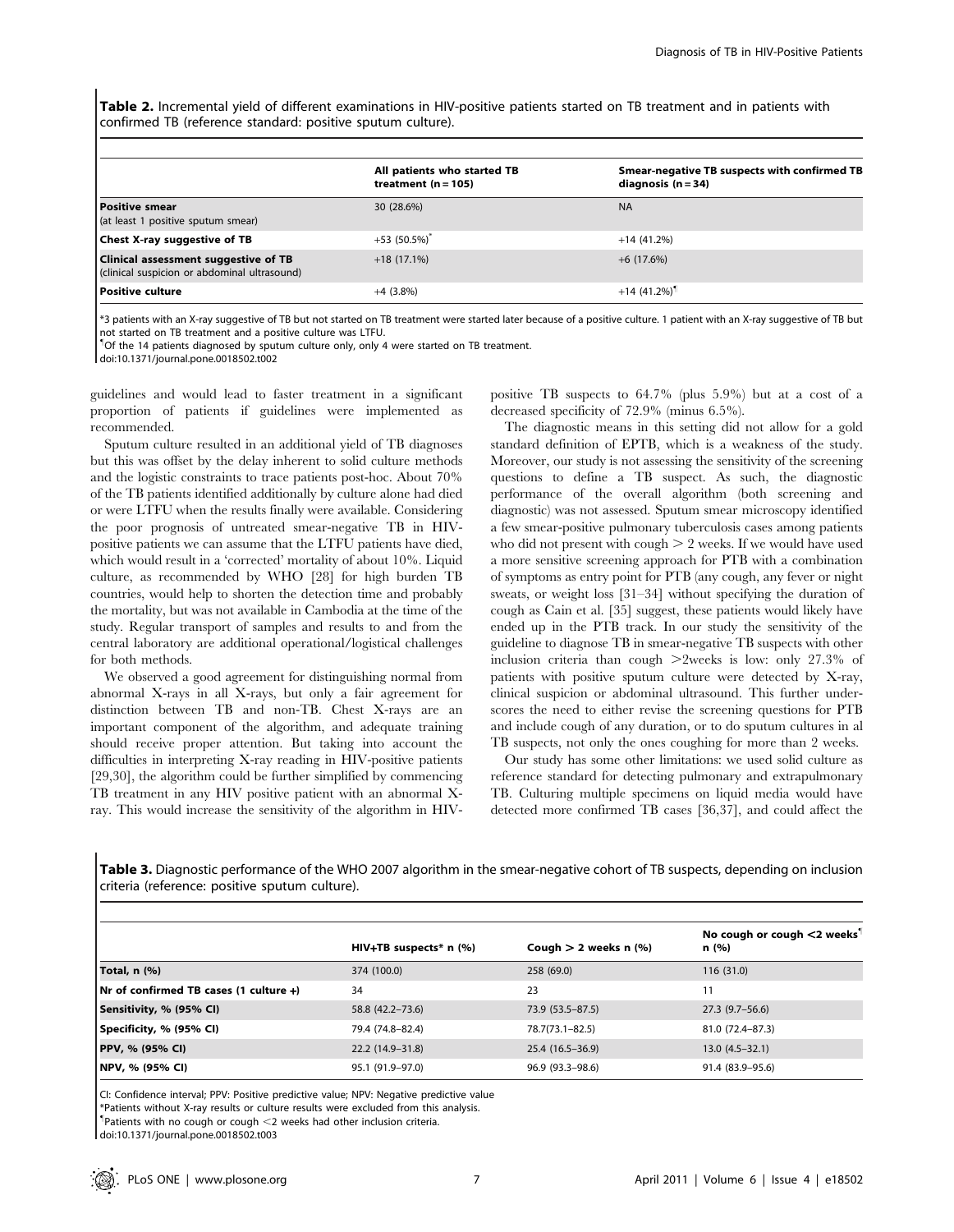Table 2. Incremental yield of different examinations in HIV-positive patients started on TB treatment and in patients with confirmed TB (reference standard: positive sputum culture).

|                                                                                             | All patients who started TB<br>treatment $(n = 105)$ | Smear-negative TB suspects with confirmed TB<br>diagnosis $(n = 34)$ |
|---------------------------------------------------------------------------------------------|------------------------------------------------------|----------------------------------------------------------------------|
| <b>Positive smear</b><br>(at least 1 positive sputum smear)                                 | 30 (28.6%)                                           | <b>NA</b>                                                            |
| <b>Chest X-ray suggestive of TB</b>                                                         | $+53(50.5\%)$                                        | $+14(41.2%)$                                                         |
| <b>Clinical assessment suggestive of TB</b><br>(clinical suspicion or abdominal ultrasound) | $+18(17.1\%)$                                        | $+6(17.6%)$                                                          |
| Positive culture                                                                            | $+4(3.8%)$                                           | $+14(41.2\%)$                                                        |

\*3 patients with an X-ray suggestive of TB but not started on TB treatment were started later because of a positive culture. 1 patient with an X-ray suggestive of TB but not started on TB treatment and a positive culture was LTFU.

" Of the 14 patients diagnosed by sputum culture only, only 4 were started on TB treatment.

doi:10.1371/journal.pone.0018502.t002

guidelines and would lead to faster treatment in a significant proportion of patients if guidelines were implemented as recommended.

Sputum culture resulted in an additional yield of TB diagnoses but this was offset by the delay inherent to solid culture methods and the logistic constraints to trace patients post-hoc. About 70% of the TB patients identified additionally by culture alone had died or were LTFU when the results finally were available. Considering the poor prognosis of untreated smear-negative TB in HIVpositive patients we can assume that the LTFU patients have died, which would result in a 'corrected' mortality of about 10%. Liquid culture, as recommended by WHO [28] for high burden TB countries, would help to shorten the detection time and probably the mortality, but was not available in Cambodia at the time of the study. Regular transport of samples and results to and from the central laboratory are additional operational/logistical challenges for both methods.

We observed a good agreement for distinguishing normal from abnormal X-rays in all X-rays, but only a fair agreement for distinction between TB and non-TB. Chest X-rays are an important component of the algorithm, and adequate training should receive proper attention. But taking into account the difficulties in interpreting X-ray reading in HIV-positive patients [29,30], the algorithm could be further simplified by commencing TB treatment in any HIV positive patient with an abnormal Xray. This would increase the sensitivity of the algorithm in HIV- positive TB suspects to 64.7% (plus 5.9%) but at a cost of a decreased specificity of 72.9% (minus 6.5%).

The diagnostic means in this setting did not allow for a gold standard definition of EPTB, which is a weakness of the study. Moreover, our study is not assessing the sensitivity of the screening questions to define a TB suspect. As such, the diagnostic performance of the overall algorithm (both screening and diagnostic) was not assessed. Sputum smear microscopy identified a few smear-positive pulmonary tuberculosis cases among patients who did not present with cough  $> 2$  weeks. If we would have used a more sensitive screening approach for PTB with a combination of symptoms as entry point for PTB (any cough, any fever or night sweats, or weight loss [31–34] without specifying the duration of cough as Cain et al. [35] suggest, these patients would likely have ended up in the PTB track. In our study the sensitivity of the guideline to diagnose TB in smear-negative TB suspects with other inclusion criteria than cough  $>2$ weeks is low: only 27.3% of patients with positive sputum culture were detected by X-ray, clinical suspicion or abdominal ultrasound. This further underscores the need to either revise the screening questions for PTB and include cough of any duration, or to do sputum cultures in al TB suspects, not only the ones coughing for more than 2 weeks.

Our study has some other limitations: we used solid culture as reference standard for detecting pulmonary and extrapulmonary TB. Culturing multiple specimens on liquid media would have detected more confirmed TB cases [36,37], and could affect the

Table 3. Diagnostic performance of the WHO 2007 algorithm in the smear-negative cohort of TB suspects, depending on inclusion criteria (reference: positive sputum culture).

|                                            | $HIV+TB$ suspects* n $(\%)$ | Cough $> 2$ weeks n $(%)$ | No cough or cough $\leq$ weeks <sup>1</sup><br>n (%) |
|--------------------------------------------|-----------------------------|---------------------------|------------------------------------------------------|
| Total, n (%)                               | 374 (100.0)                 | 258 (69.0)                | 116(31.0)                                            |
| Nr of confirmed TB cases $(1$ culture $+)$ | 34                          | 23                        | 11                                                   |
| Sensitivity, % (95% CI)                    | 58.8 (42.2–73.6)            | 73.9 (53.5-87.5)          | $27.3(9.7-56.6)$                                     |
| Specificity, % (95% CI)                    | 79.4 (74.8-82.4)            | 78.7(73.1-82.5)           | 81.0 (72.4-87.3)                                     |
| PPV, % (95% CI)                            | 22.2 (14.9-31.8)            | 25.4 (16.5 - 36.9)        | $13.0(4.5-32.1)$                                     |
| NPV, % (95% CI)                            | 95.1 (91.9–97.0)            | 96.9 (93.3-98.6)          | 91.4 (83.9-95.6)                                     |

CI: Confidence interval; PPV: Positive predictive value; NPV: Negative predictive value

\*Patients without X-ray results or culture results were excluded from this analysis.

<sup>1</sup>Patients with no cough or cough <2 weeks had other inclusion criteria.

doi:10.1371/journal.pone.0018502.t003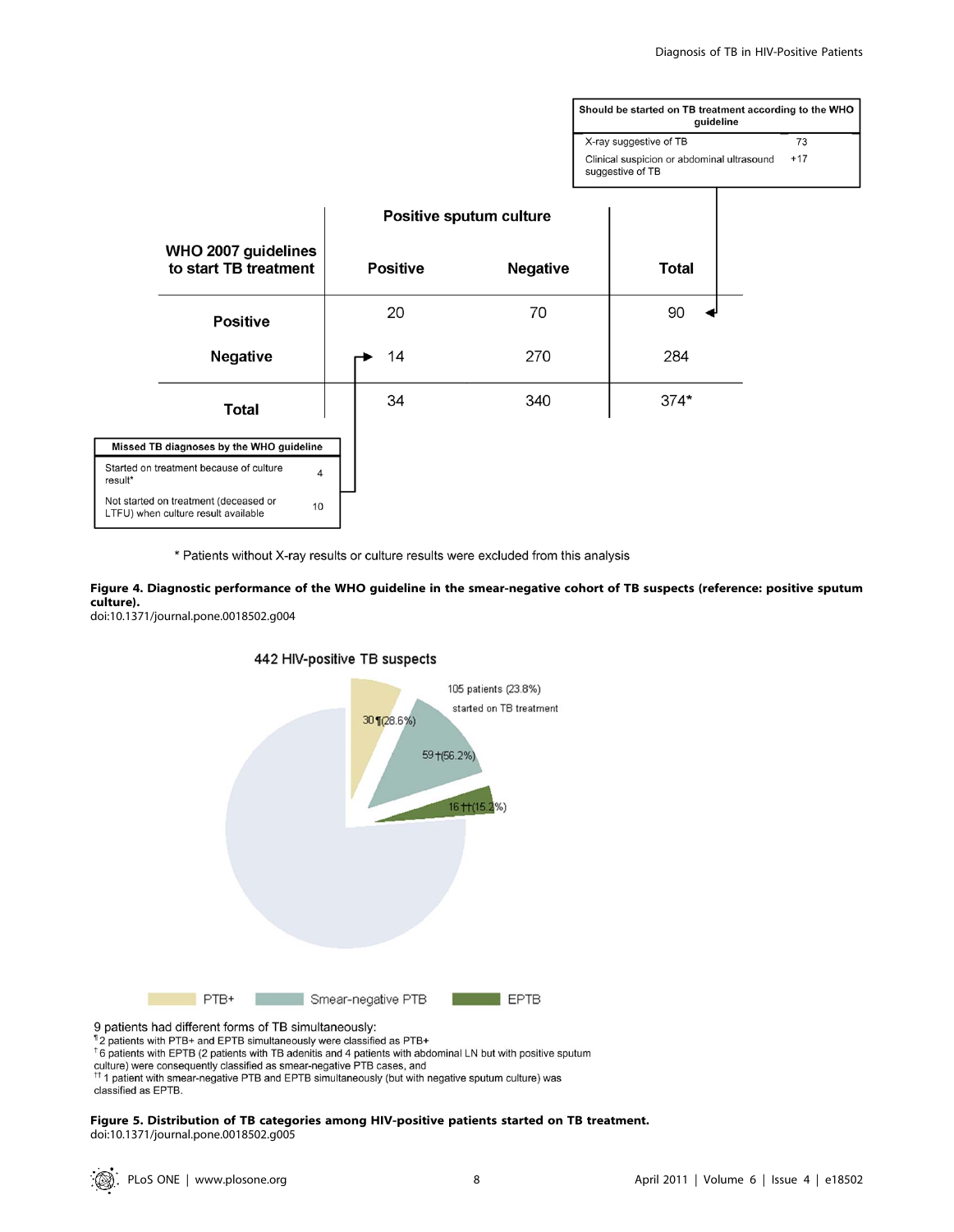| Should be started on TB treatment according to the WHO<br>guideline |       |  |  |
|---------------------------------------------------------------------|-------|--|--|
| X-ray suggestive of TB                                              | 73    |  |  |
| Clinical suspicion or abdominal ultrasound<br>suggestive of TB      | $+17$ |  |  |

|         |                                                                              |    | Positive sputum culture |                 |              |
|---------|------------------------------------------------------------------------------|----|-------------------------|-----------------|--------------|
|         | WHO 2007 guidelines<br>to start TB treatment                                 |    | <b>Positive</b>         | <b>Negative</b> | <b>Total</b> |
|         | <b>Positive</b>                                                              |    | 20                      | 70              | 90           |
|         | Negative                                                                     |    | 14                      | 270             | 284          |
|         | <b>Total</b>                                                                 |    | 34                      | 340             | $374*$       |
|         | Missed TB diagnoses by the WHO guideline                                     |    |                         |                 |              |
| result* | Started on treatment because of culture                                      | 4  |                         |                 |              |
|         | Not started on treatment (deceased or<br>LTFU) when culture result available | 10 |                         |                 |              |

\* Patients without X-ray results or culture results were excluded from this analysis

Figure 4. Diagnostic performance of the WHO guideline in the smear-negative cohort of TB suspects (reference: positive sputum culture).

doi:10.1371/journal.pone.0018502.g004



# 442 HIV-positive TB suspects

classified as EPTB.

## Figure 5. Distribution of TB categories among HIV-positive patients started on TB treatment. doi:10.1371/journal.pone.0018502.g005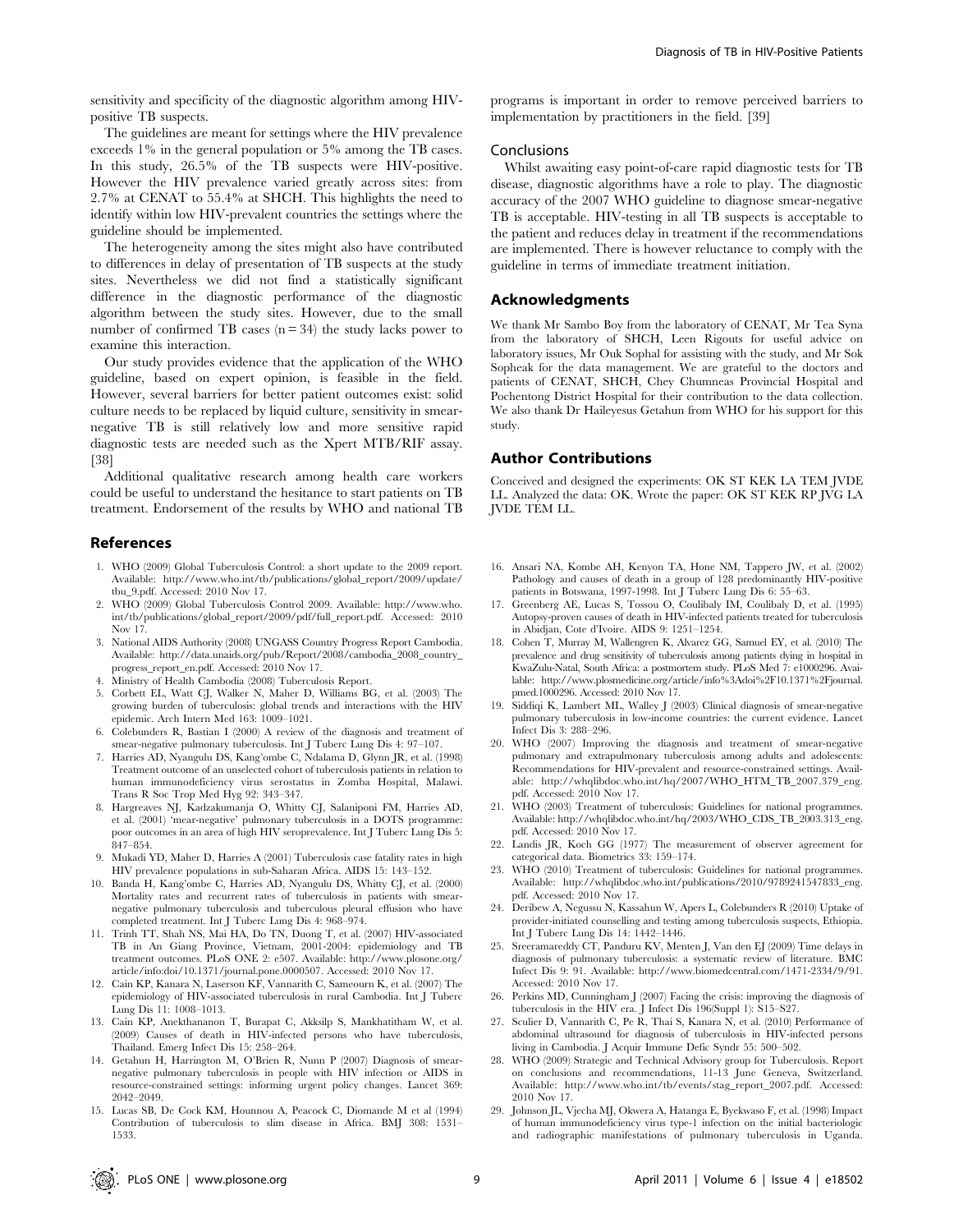The guidelines are meant for settings where the HIV prevalence exceeds 1% in the general population or 5% among the TB cases. In this study, 26.5% of the TB suspects were HIV-positive. However the HIV prevalence varied greatly across sites: from 2.7% at CENAT to 55.4% at SHCH. This highlights the need to identify within low HIV-prevalent countries the settings where the guideline should be implemented.

The heterogeneity among the sites might also have contributed to differences in delay of presentation of TB suspects at the study sites. Nevertheless we did not find a statistically significant difference in the diagnostic performance of the diagnostic algorithm between the study sites. However, due to the small number of confirmed TB cases  $(n = 34)$  the study lacks power to examine this interaction.

Our study provides evidence that the application of the WHO guideline, based on expert opinion, is feasible in the field. However, several barriers for better patient outcomes exist: solid culture needs to be replaced by liquid culture, sensitivity in smearnegative TB is still relatively low and more sensitive rapid diagnostic tests are needed such as the Xpert MTB/RIF assay. [38]

Additional qualitative research among health care workers could be useful to understand the hesitance to start patients on TB treatment. Endorsement of the results by WHO and national TB

## References

- 1. WHO (2009) Global Tuberculosis Control: a short update to the 2009 report. Available: http://www.who.int/tb/publications/global\_report/2009/update/ tbu\_9.pdf. Accessed: 2010 Nov 17.
- 2. WHO (2009) Global Tuberculosis Control 2009. Available: http://www.who. int/tb/publications/global\_report/2009/pdf/full\_report.pdf. Accessed: 2010 Nov 17.
- 3. National AIDS Authority (2008) UNGASS Country Progress Report Cambodia. Available: http://data.unaids.org/pub/Report/2008/cambodia\_2008\_country\_ progress\_report\_en.pdf. Accessed: 2010 Nov 17.
- Ministry of Health Cambodia (2008) Tuberculosis Report.
- 5. Corbett EL, Watt CJ, Walker N, Maher D, Williams BG, et al. (2003) The growing burden of tuberculosis: global trends and interactions with the HIV epidemic. Arch Intern Med 163: 1009–1021.
- 6. Colebunders R, Bastian I (2000) A review of the diagnosis and treatment of smear-negative pulmonary tuberculosis. Int J Tuberc Lung Dis 4: 97–107.
- 7. Harries AD, Nyangulu DS, Kang'ombe C, Ndalama D, Glynn JR, et al. (1998) Treatment outcome of an unselected cohort of tuberculosis patients in relation to human immunodeficiency virus serostatus in Zomba Hospital, Malawi. Trans R Soc Trop Med Hyg 92: 343–347.
- 8. Hargreaves NJ, Kadzakumanja O, Whitty CJ, Salaniponi FM, Harries AD, et al. (2001) 'mear-negative' pulmonary tuberculosis in a DOTS programme: poor outcomes in an area of high HIV seroprevalence. Int J Tuberc Lung Dis 5: 847–854.
- 9. Mukadi YD, Maher D, Harries A (2001) Tuberculosis case fatality rates in high HIV prevalence populations in sub-Saharan Africa. AIDS 15: 143–152.
- 10. Banda H, Kang'ombe C, Harries AD, Nyangulu DS, Whitty CJ, et al. (2000) Mortality rates and recurrent rates of tuberculosis in patients with smearnegative pulmonary tuberculosis and tuberculous pleural effusion who have completed treatment. Int J Tuberc Lung Dis 4: 968–974.
- 11. Trinh TT, Shah NS, Mai HA, Do TN, Duong T, et al. (2007) HIV-associated TB in An Giang Province, Vietnam, 2001-2004: epidemiology and TB treatment outcomes. PLoS ONE 2: e507. Available: http://www.plosone.org/ article/info:doi/10.1371/journal.pone.0000507. Accessed: 2010 Nov 17.
- 12. Cain KP, Kanara N, Laserson KF, Vannarith C, Sameourn K, et al. (2007) The epidemiology of HIV-associated tuberculosis in rural Cambodia. Int J Tuberc Lung Dis 11: 1008–1013.
- 13. Cain KP, Anekthananon T, Burapat C, Akksilp S, Mankhatitham W, et al. (2009) Causes of death in HIV-infected persons who have tuberculosis, Thailand. Emerg Infect Dis 15: 258–264.
- 14. Getahun H, Harrington M, O'Brien R, Nunn P (2007) Diagnosis of smearnegative pulmonary tuberculosis in people with HIV infection or AIDS in resource-constrained settings: informing urgent policy changes. Lancet 369: 2042–2049.
- 15. Lucas SB, De Cock KM, Hounnou A, Peacock C, Diomande M et al (1994) Contribution of tuberculosis to slim disease in Africa. BMJ 308: 1531– 1533.

programs is important in order to remove perceived barriers to implementation by practitioners in the field. [39]

#### **Conclusions**

Whilst awaiting easy point-of-care rapid diagnostic tests for TB disease, diagnostic algorithms have a role to play. The diagnostic accuracy of the 2007 WHO guideline to diagnose smear-negative TB is acceptable. HIV-testing in all TB suspects is acceptable to the patient and reduces delay in treatment if the recommendations are implemented. There is however reluctance to comply with the guideline in terms of immediate treatment initiation.

## Acknowledgments

We thank Mr Sambo Boy from the laboratory of CENAT, Mr Tea Syna from the laboratory of SHCH, Leen Rigouts for useful advice on laboratory issues, Mr Ouk Sophal for assisting with the study, and Mr Sok Sopheak for the data management. We are grateful to the doctors and patients of CENAT, SHCH, Chey Chumneas Provincial Hospital and Pochentong District Hospital for their contribution to the data collection. We also thank Dr Haileyesus Getahun from WHO for his support for this study.

# Author Contributions

Conceived and designed the experiments: OK ST KEK LA TEM JVDE LL. Analyzed the data: OK. Wrote the paper: OK ST KEK RP JVG LA JVDE TEM LL.

- 16. Ansari NA, Kombe AH, Kenyon TA, Hone NM, Tappero JW, et al. (2002) Pathology and causes of death in a group of 128 predominantly HIV-positive patients in Botswana, 1997-1998. Int J Tuberc Lung Dis 6: 55–63.
- 17. Greenberg AE, Lucas S, Tossou O, Coulibaly IM, Coulibaly D, et al. (1995) Autopsy-proven causes of death in HIV-infected patients treated for tuberculosis in Abidjan, Cote d'Ivoire. AIDS 9: 1251–1254.
- 18. Cohen T, Murray M, Wallengren K, Alvarez GG, Samuel EY, et al. (2010) The prevalence and drug sensitivity of tuberculosis among patients dying in hospital in KwaZulu-Natal, South Africa: a postmortem study. PLoS Med 7: e1000296. Available: http://www.plosmedicine.org/article/info%3Adoi%2F10.1371%2Fjournal. pmed.1000296. Accessed: 2010 Nov 17.
- 19. Siddiqi K, Lambert ML, Walley J (2003) Clinical diagnosis of smear-negative pulmonary tuberculosis in low-income countries: the current evidence. Lancet Infect Dis 3: 288–296.
- 20. WHO (2007) Improving the diagnosis and treatment of smear-negative pulmonary and extrapulmonary tuberculosis among adults and adolescents: Recommendations for HIV-prevalent and resource-constrained settings. Available: http://whqlibdoc.who.int/hq/2007/WHO\_HTM\_TB\_2007.379\_eng. pdf. Accessed: 2010 Nov 17.
- 21. WHO (2003) Treatment of tuberculosis: Guidelines for national programmes. Available: http://whqlibdoc.who.int/hq/2003/WHO\_CDS\_TB\_2003.313\_eng. pdf. Accessed: 2010 Nov 17.
- 22. Landis JR, Koch GG (1977) The measurement of observer agreement for categorical data. Biometrics 33: 159–174.
- 23. WHO (2010) Treatment of tuberculosis: Guidelines for national programmes. Available: http://whqlibdoc.who.int/publications/2010/9789241547833\_eng. pdf. Accessed: 2010 Nov 17.
- 24. Deribew A, Negussu N, Kassahun W, Apers L, Colebunders R (2010) Uptake of provider-initiated counselling and testing among tuberculosis suspects, Ethiopia. Int J Tuberc Lung Dis 14: 1442–1446.
- 25. Sreeramareddy CT, Panduru KV, Menten J, Van den EJ (2009) Time delays in diagnosis of pulmonary tuberculosis: a systematic review of literature. BMC Infect Dis 9: 91. Available: http://www.biomedcentral.com/1471-2334/9/91. Accessed: 2010 Nov 17.
- 26. Perkins MD, Cunningham J (2007) Facing the crisis: improving the diagnosis of tuberculosis in the HIV era. J Infect Dis 196(Suppl 1): S15–S27.
- 27. Sculier D, Vannarith C, Pe R, Thai S, Kanara N, et al. (2010) Performance of abdominal ultrasound for diagnosis of tuberculosis in HIV-infected persons living in Cambodia. J Acquir Immune Defic Syndr 55: 500–502.
- 28. WHO (2009) Strategic and Technical Advisory group for Tuberculosis. Report on conclusions and recommendations, 11-13 June Geneva, Switzerland. Available: http://www.who.int/tb/events/stag\_report\_2007.pdf. Accessed: 2010 Nov 17.
- 29. Johnson JL, Vjecha MJ, Okwera A, Hatanga E, Byekwaso F, et al. (1998) Impact of human immunodeficiency virus type-1 infection on the initial bacteriologic and radiographic manifestations of pulmonary tuberculosis in Uganda.